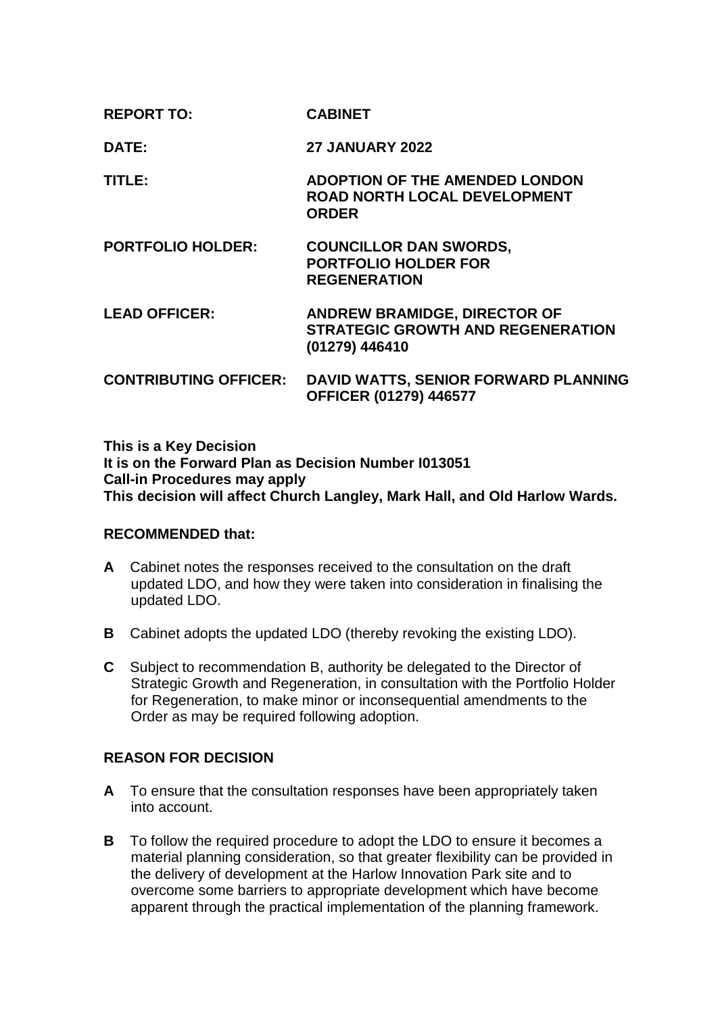| <b>REPORT TO:</b>            | <b>CABINET</b>                                                                                    |
|------------------------------|---------------------------------------------------------------------------------------------------|
| DATE:                        | <b>27 JANUARY 2022</b>                                                                            |
| TITLE:                       | <b>ADOPTION OF THE AMENDED LONDON</b><br><b>ROAD NORTH LOCAL DEVELOPMENT</b><br><b>ORDER</b>      |
| <b>PORTFOLIO HOLDER:</b>     | <b>COUNCILLOR DAN SWORDS,</b><br><b>PORTFOLIO HOLDER FOR</b><br><b>REGENERATION</b>               |
| <b>LEAD OFFICER:</b>         | <b>ANDREW BRAMIDGE, DIRECTOR OF</b><br><b>STRATEGIC GROWTH AND REGENERATION</b><br>(01279) 446410 |
| <b>CONTRIBUTING OFFICER:</b> | DAVID WATTS, SENIOR FORWARD PLANNING<br>OFFICER (01279) 446577                                    |

**This is a Key Decision It is on the Forward Plan as Decision Number I013051 Call-in Procedures may apply This decision will affect Church Langley, Mark Hall, and Old Harlow Wards.**

# **RECOMMENDED that:**

- **A** Cabinet notes the responses received to the consultation on the draft updated LDO, and how they were taken into consideration in finalising the updated LDO.
- **B** Cabinet adopts the updated LDO (thereby revoking the existing LDO).
- **C** Subject to recommendation B, authority be delegated to the Director of Strategic Growth and Regeneration, in consultation with the Portfolio Holder for Regeneration, to make minor or inconsequential amendments to the Order as may be required following adoption.

# **REASON FOR DECISION**

- **A** To ensure that the consultation responses have been appropriately taken into account.
- **B** To follow the required procedure to adopt the LDO to ensure it becomes a material planning consideration, so that greater flexibility can be provided in the delivery of development at the Harlow Innovation Park site and to overcome some barriers to appropriate development which have become apparent through the practical implementation of the planning framework.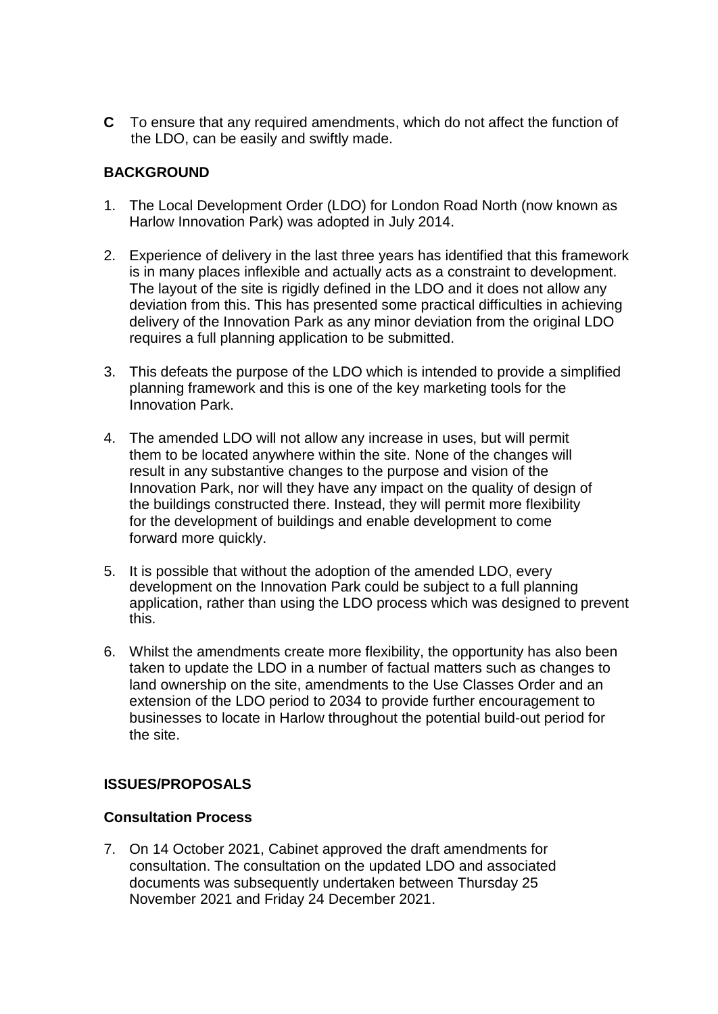**C** To ensure that any required amendments, which do not affect the function of the LDO, can be easily and swiftly made.

# **BACKGROUND**

- 1. The Local Development Order (LDO) for London Road North (now known as Harlow Innovation Park) was adopted in July 2014.
- 2. Experience of delivery in the last three years has identified that this framework is in many places inflexible and actually acts as a constraint to development. The layout of the site is rigidly defined in the LDO and it does not allow any deviation from this. This has presented some practical difficulties in achieving delivery of the Innovation Park as any minor deviation from the original LDO requires a full planning application to be submitted.
- 3. This defeats the purpose of the LDO which is intended to provide a simplified planning framework and this is one of the key marketing tools for the Innovation Park.
- 4. The amended LDO will not allow any increase in uses, but will permit them to be located anywhere within the site. None of the changes will result in any substantive changes to the purpose and vision of the Innovation Park, nor will they have any impact on the quality of design of the buildings constructed there. Instead, they will permit more flexibility for the development of buildings and enable development to come forward more quickly.
- 5. It is possible that without the adoption of the amended LDO, every development on the Innovation Park could be subject to a full planning application, rather than using the LDO process which was designed to prevent this.
- 6. Whilst the amendments create more flexibility, the opportunity has also been taken to update the LDO in a number of factual matters such as changes to land ownership on the site, amendments to the Use Classes Order and an extension of the LDO period to 2034 to provide further encouragement to businesses to locate in Harlow throughout the potential build-out period for the site.

# **ISSUES/PROPOSALS**

# **Consultation Process**

7. On 14 October 2021, Cabinet approved the draft amendments for consultation. The consultation on the updated LDO and associated documents was subsequently undertaken between Thursday 25 November 2021 and Friday 24 December 2021.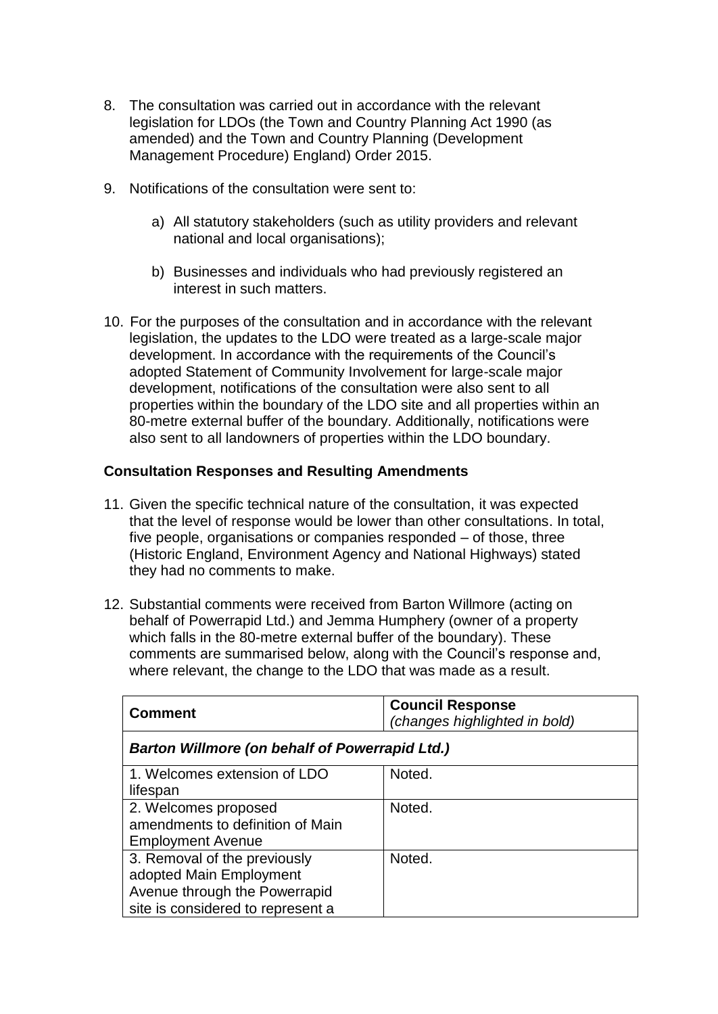- 8. The consultation was carried out in accordance with the relevant legislation for LDOs (the Town and Country Planning Act 1990 (as amended) and the Town and Country Planning (Development Management Procedure) England) Order 2015.
- 9. Notifications of the consultation were sent to:
	- a) All statutory stakeholders (such as utility providers and relevant national and local organisations);
	- b) Businesses and individuals who had previously registered an interest in such matters.
- 10. For the purposes of the consultation and in accordance with the relevant legislation, the updates to the LDO were treated as a large-scale major development. In accordance with the requirements of the Council's adopted Statement of Community Involvement for large-scale major development, notifications of the consultation were also sent to all properties within the boundary of the LDO site and all properties within an 80-metre external buffer of the boundary. Additionally, notifications were also sent to all landowners of properties within the LDO boundary.

# **Consultation Responses and Resulting Amendments**

- 11. Given the specific technical nature of the consultation, it was expected that the level of response would be lower than other consultations. In total, five people, organisations or companies responded – of those, three (Historic England, Environment Agency and National Highways) stated they had no comments to make.
- 12. Substantial comments were received from Barton Willmore (acting on behalf of Powerrapid Ltd.) and Jemma Humphery (owner of a property which falls in the 80-metre external buffer of the boundary). These comments are summarised below, along with the Council's response and, where relevant, the change to the LDO that was made as a result.

| <b>Comment</b>                                        | <b>Council Response</b><br>(changes highlighted in bold) |  |
|-------------------------------------------------------|----------------------------------------------------------|--|
| <b>Barton Willmore (on behalf of Powerrapid Ltd.)</b> |                                                          |  |
| 1. Welcomes extension of LDO                          | Noted.                                                   |  |
| lifespan                                              |                                                          |  |
| 2. Welcomes proposed                                  | Noted.                                                   |  |
| amendments to definition of Main                      |                                                          |  |
| <b>Employment Avenue</b>                              |                                                          |  |
| 3. Removal of the previously                          | Noted.                                                   |  |
| adopted Main Employment                               |                                                          |  |
| Avenue through the Powerrapid                         |                                                          |  |
| site is considered to represent a                     |                                                          |  |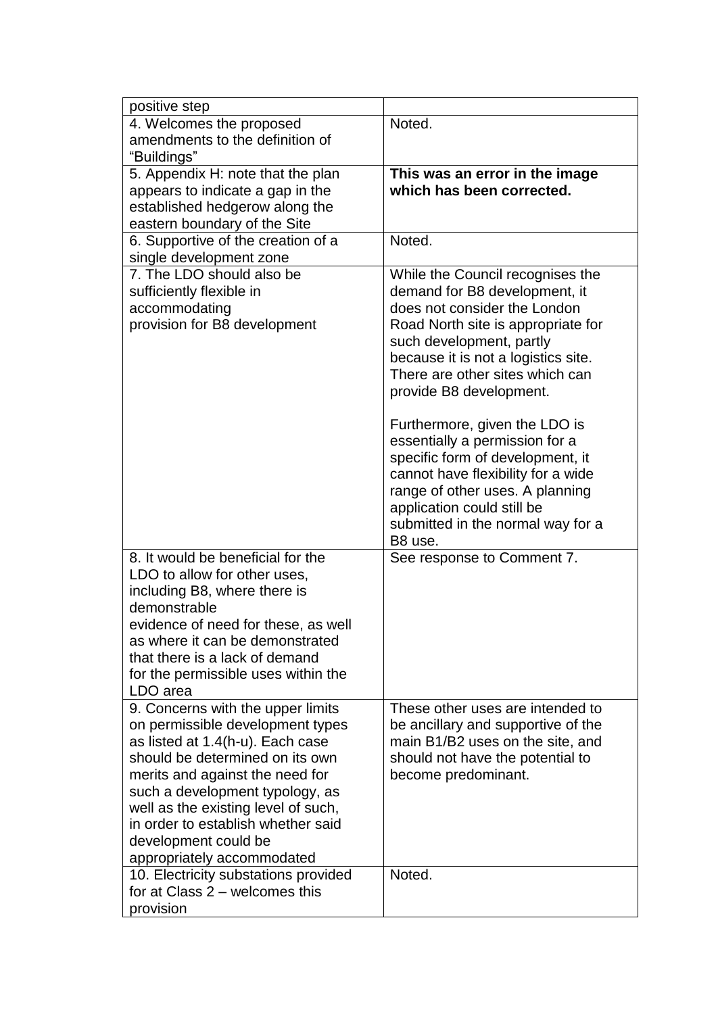| positive step                                                 |                                     |
|---------------------------------------------------------------|-------------------------------------|
| 4. Welcomes the proposed                                      | Noted.                              |
| amendments to the definition of                               |                                     |
| "Buildings"                                                   |                                     |
| 5. Appendix H: note that the plan                             | This was an error in the image      |
| appears to indicate a gap in the                              | which has been corrected.           |
| established hedgerow along the                                |                                     |
| eastern boundary of the Site                                  |                                     |
| 6. Supportive of the creation of a<br>single development zone | Noted.                              |
| 7. The LDO should also be                                     | While the Council recognises the    |
| sufficiently flexible in                                      | demand for B8 development, it       |
| accommodating                                                 | does not consider the London        |
| provision for B8 development                                  | Road North site is appropriate for  |
|                                                               | such development, partly            |
|                                                               | because it is not a logistics site. |
|                                                               | There are other sites which can     |
|                                                               | provide B8 development.             |
|                                                               | Furthermore, given the LDO is       |
|                                                               | essentially a permission for a      |
|                                                               | specific form of development, it    |
|                                                               | cannot have flexibility for a wide  |
|                                                               | range of other uses. A planning     |
|                                                               | application could still be          |
|                                                               | submitted in the normal way for a   |
|                                                               | B <sub>8</sub> use.                 |
| 8. It would be beneficial for the                             | See response to Comment 7.          |
| LDO to allow for other uses,                                  |                                     |
| including B8, where there is                                  |                                     |
| demonstrable                                                  |                                     |
| evidence of need for these, as well                           |                                     |
| as where it can be demonstrated                               |                                     |
| that there is a lack of demand                                |                                     |
| for the permissible uses within the<br>LDO area               |                                     |
| 9. Concerns with the upper limits                             | These other uses are intended to    |
| on permissible development types                              | be ancillary and supportive of the  |
| as listed at 1.4(h-u). Each case                              | main B1/B2 uses on the site, and    |
| should be determined on its own                               | should not have the potential to    |
| merits and against the need for                               | become predominant.                 |
| such a development typology, as                               |                                     |
| well as the existing level of such,                           |                                     |
| in order to establish whether said                            |                                     |
| development could be                                          |                                     |
| appropriately accommodated                                    |                                     |
| 10. Electricity substations provided                          | Noted.                              |
| for at Class $2$ – welcomes this                              |                                     |
| provision                                                     |                                     |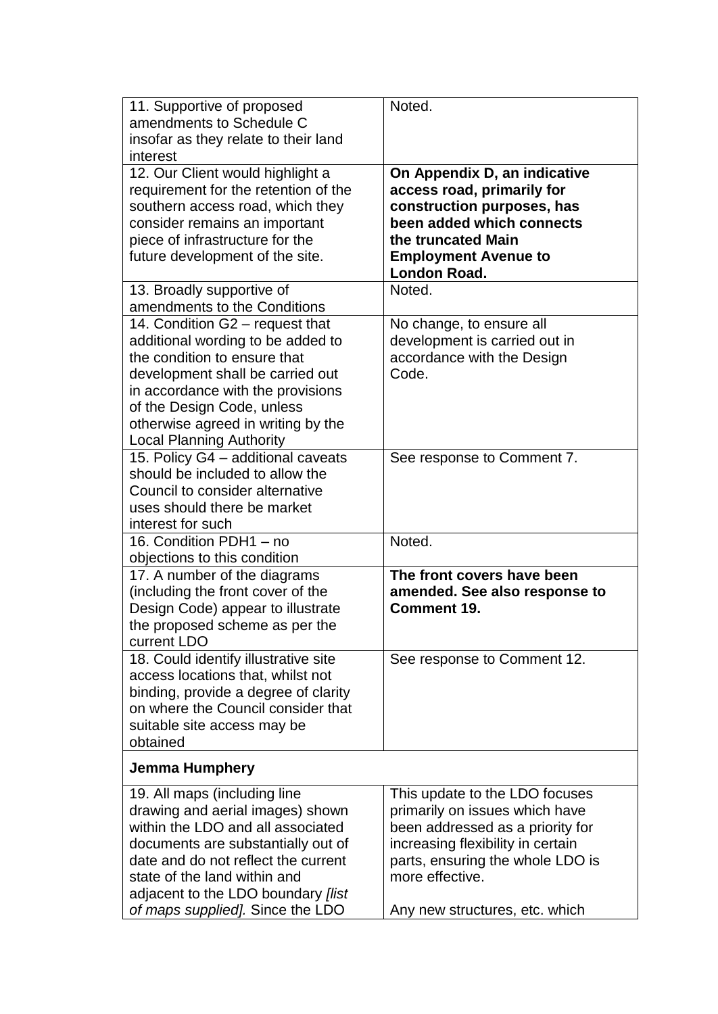| 11. Supportive of proposed<br>amendments to Schedule C<br>insofar as they relate to their land<br>interest                                                                                                                                                                                    | Noted.                                                                                                                                                                                                                             |
|-----------------------------------------------------------------------------------------------------------------------------------------------------------------------------------------------------------------------------------------------------------------------------------------------|------------------------------------------------------------------------------------------------------------------------------------------------------------------------------------------------------------------------------------|
| 12. Our Client would highlight a<br>requirement for the retention of the<br>southern access road, which they<br>consider remains an important<br>piece of infrastructure for the<br>future development of the site.                                                                           | On Appendix D, an indicative<br>access road, primarily for<br>construction purposes, has<br>been added which connects<br>the truncated Main<br><b>Employment Avenue to</b><br>London Road.                                         |
| 13. Broadly supportive of<br>amendments to the Conditions                                                                                                                                                                                                                                     | Noted.                                                                                                                                                                                                                             |
| 14. Condition G2 - request that<br>additional wording to be added to<br>the condition to ensure that<br>development shall be carried out<br>in accordance with the provisions<br>of the Design Code, unless<br>otherwise agreed in writing by the<br><b>Local Planning Authority</b>          | No change, to ensure all<br>development is carried out in<br>accordance with the Design<br>Code.                                                                                                                                   |
| 15. Policy G4 - additional caveats<br>should be included to allow the<br>Council to consider alternative<br>uses should there be market<br>interest for such                                                                                                                                  | See response to Comment 7.                                                                                                                                                                                                         |
| 16. Condition PDH1 - no<br>objections to this condition                                                                                                                                                                                                                                       | Noted.                                                                                                                                                                                                                             |
| 17. A number of the diagrams<br>(including the front cover of the<br>Design Code) appear to illustrate<br>the proposed scheme as per the<br>current LDO                                                                                                                                       | The front covers have been<br>amended. See also response to<br><b>Comment 19.</b>                                                                                                                                                  |
| 18. Could identify illustrative site<br>access locations that, whilst not<br>binding, provide a degree of clarity<br>on where the Council consider that<br>suitable site access may be<br>obtained                                                                                            | See response to Comment 12.                                                                                                                                                                                                        |
| Jemma Humphery                                                                                                                                                                                                                                                                                |                                                                                                                                                                                                                                    |
| 19. All maps (including line<br>drawing and aerial images) shown<br>within the LDO and all associated<br>documents are substantially out of<br>date and do not reflect the current<br>state of the land within and<br>adjacent to the LDO boundary [list]<br>of maps supplied]. Since the LDO | This update to the LDO focuses<br>primarily on issues which have<br>been addressed as a priority for<br>increasing flexibility in certain<br>parts, ensuring the whole LDO is<br>more effective.<br>Any new structures, etc. which |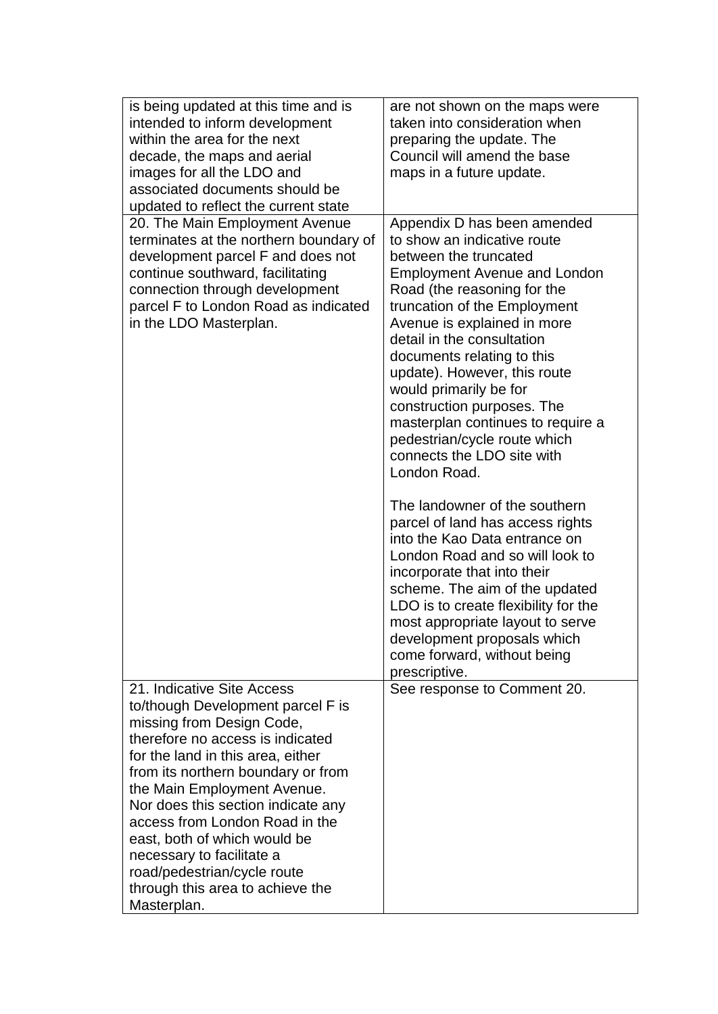| is being updated at this time and is<br>intended to inform development<br>within the area for the next<br>decade, the maps and aerial<br>images for all the LDO and<br>associated documents should be<br>updated to reflect the current state                                                                                                                                                                                                                     | are not shown on the maps were<br>taken into consideration when<br>preparing the update. The<br>Council will amend the base<br>maps in a future update.                                                                                                                                                                                                                                                                                                                                                                                                                                               |
|-------------------------------------------------------------------------------------------------------------------------------------------------------------------------------------------------------------------------------------------------------------------------------------------------------------------------------------------------------------------------------------------------------------------------------------------------------------------|-------------------------------------------------------------------------------------------------------------------------------------------------------------------------------------------------------------------------------------------------------------------------------------------------------------------------------------------------------------------------------------------------------------------------------------------------------------------------------------------------------------------------------------------------------------------------------------------------------|
| 20. The Main Employment Avenue<br>terminates at the northern boundary of<br>development parcel F and does not<br>continue southward, facilitating<br>connection through development<br>parcel F to London Road as indicated<br>in the LDO Masterplan.                                                                                                                                                                                                             | Appendix D has been amended<br>to show an indicative route<br>between the truncated<br><b>Employment Avenue and London</b><br>Road (the reasoning for the<br>truncation of the Employment<br>Avenue is explained in more<br>detail in the consultation<br>documents relating to this<br>update). However, this route<br>would primarily be for<br>construction purposes. The<br>masterplan continues to require a<br>pedestrian/cycle route which<br>connects the LDO site with<br>London Road.<br>The landowner of the southern<br>parcel of land has access rights<br>into the Kao Data entrance on |
|                                                                                                                                                                                                                                                                                                                                                                                                                                                                   | London Road and so will look to<br>incorporate that into their<br>scheme. The aim of the updated<br>LDO is to create flexibility for the<br>most appropriate layout to serve<br>development proposals which<br>come forward, without being<br>prescriptive.                                                                                                                                                                                                                                                                                                                                           |
| 21. Indicative Site Access<br>to/though Development parcel F is<br>missing from Design Code,<br>therefore no access is indicated<br>for the land in this area, either<br>from its northern boundary or from<br>the Main Employment Avenue.<br>Nor does this section indicate any<br>access from London Road in the<br>east, both of which would be<br>necessary to facilitate a<br>road/pedestrian/cycle route<br>through this area to achieve the<br>Masterplan. | See response to Comment 20.                                                                                                                                                                                                                                                                                                                                                                                                                                                                                                                                                                           |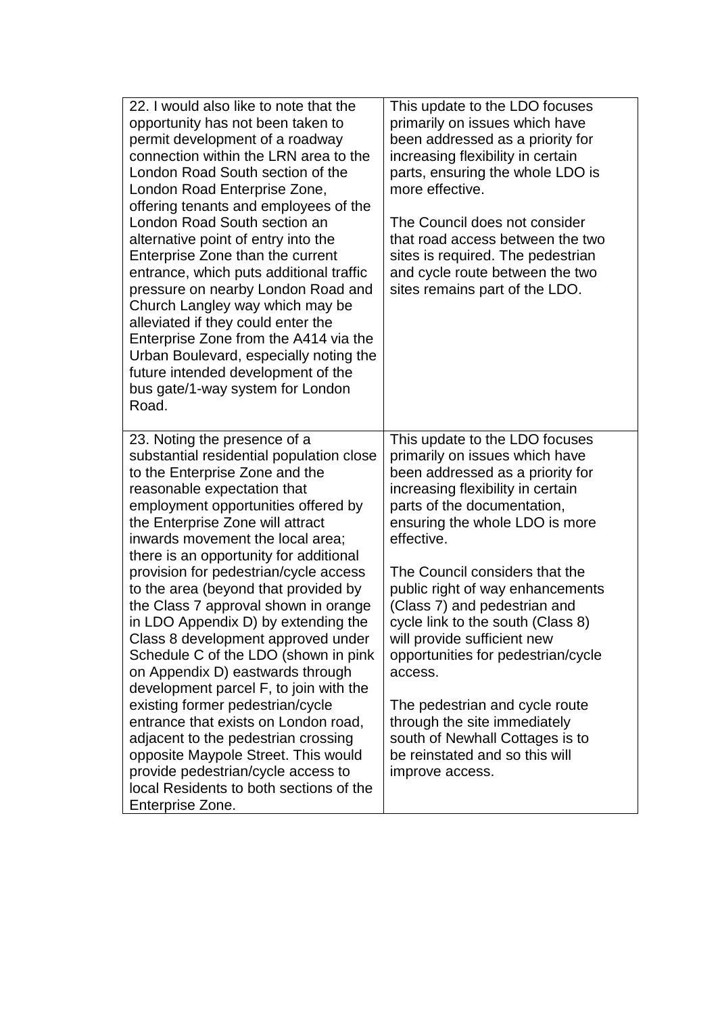| 22. I would also like to note that the<br>opportunity has not been taken to<br>permit development of a roadway<br>connection within the LRN area to the<br>London Road South section of the<br>London Road Enterprise Zone,<br>offering tenants and employees of the<br>London Road South section an<br>alternative point of entry into the<br>Enterprise Zone than the current<br>entrance, which puts additional traffic<br>pressure on nearby London Road and<br>Church Langley way which may be<br>alleviated if they could enter the<br>Enterprise Zone from the A414 via the<br>Urban Boulevard, especially noting the<br>future intended development of the<br>bus gate/1-way system for London<br>Road. | This update to the LDO focuses<br>primarily on issues which have<br>been addressed as a priority for<br>increasing flexibility in certain<br>parts, ensuring the whole LDO is<br>more effective.<br>The Council does not consider<br>that road access between the two<br>sites is required. The pedestrian<br>and cycle route between the two<br>sites remains part of the LDO. |
|-----------------------------------------------------------------------------------------------------------------------------------------------------------------------------------------------------------------------------------------------------------------------------------------------------------------------------------------------------------------------------------------------------------------------------------------------------------------------------------------------------------------------------------------------------------------------------------------------------------------------------------------------------------------------------------------------------------------|---------------------------------------------------------------------------------------------------------------------------------------------------------------------------------------------------------------------------------------------------------------------------------------------------------------------------------------------------------------------------------|
| 23. Noting the presence of a<br>substantial residential population close<br>to the Enterprise Zone and the<br>reasonable expectation that<br>employment opportunities offered by<br>the Enterprise Zone will attract<br>inwards movement the local area;<br>there is an opportunity for additional                                                                                                                                                                                                                                                                                                                                                                                                              | This update to the LDO focuses<br>primarily on issues which have<br>been addressed as a priority for<br>increasing flexibility in certain<br>parts of the documentation,<br>ensuring the whole LDO is more<br>effective.                                                                                                                                                        |
| provision for pedestrian/cycle access<br>to the area (beyond that provided by<br>the Class 7 approval shown in orange<br>in LDO Appendix D) by extending the<br>Class 8 development approved under<br>Schedule C of the LDO (shown in pink<br>on Appendix D) eastwards through<br>development parcel F, to join with the                                                                                                                                                                                                                                                                                                                                                                                        | The Council considers that the<br>public right of way enhancements<br>(Class 7) and pedestrian and<br>cycle link to the south (Class 8)<br>will provide sufficient new<br>opportunities for pedestrian/cycle<br>access.                                                                                                                                                         |
| existing former pedestrian/cycle<br>entrance that exists on London road,<br>adjacent to the pedestrian crossing<br>opposite Maypole Street. This would<br>provide pedestrian/cycle access to<br>local Residents to both sections of the<br>Enterprise Zone.                                                                                                                                                                                                                                                                                                                                                                                                                                                     | The pedestrian and cycle route<br>through the site immediately<br>south of Newhall Cottages is to<br>be reinstated and so this will<br>improve access.                                                                                                                                                                                                                          |